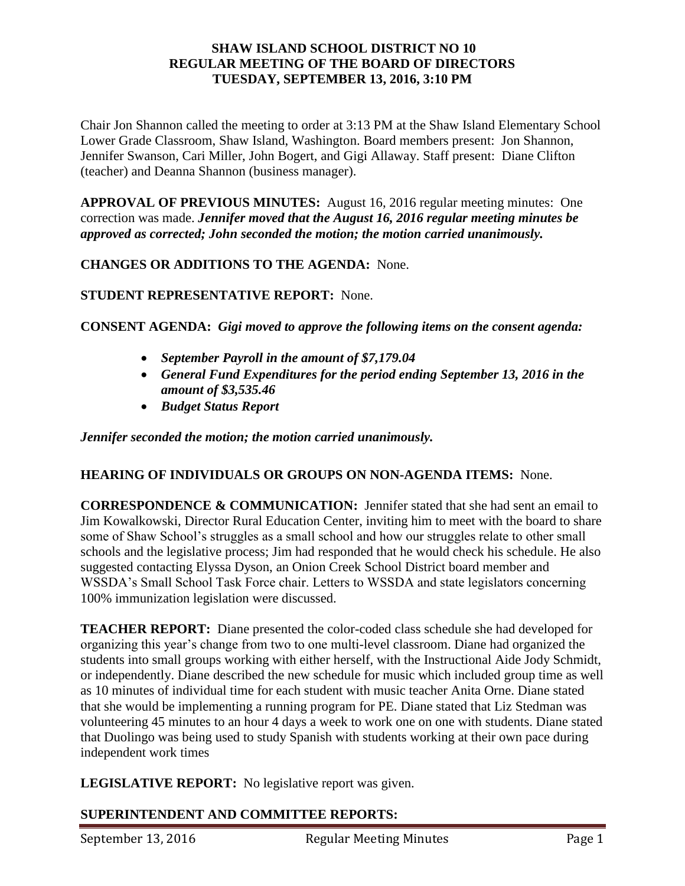### **SHAW ISLAND SCHOOL DISTRICT NO 10 REGULAR MEETING OF THE BOARD OF DIRECTORS TUESDAY, SEPTEMBER 13, 2016, 3:10 PM**

Chair Jon Shannon called the meeting to order at 3:13 PM at the Shaw Island Elementary School Lower Grade Classroom, Shaw Island, Washington. Board members present: Jon Shannon, Jennifer Swanson, Cari Miller, John Bogert, and Gigi Allaway. Staff present: Diane Clifton (teacher) and Deanna Shannon (business manager).

**APPROVAL OF PREVIOUS MINUTES:** August 16, 2016 regular meeting minutes: One correction was made. *Jennifer moved that the August 16, 2016 regular meeting minutes be approved as corrected; John seconded the motion; the motion carried unanimously.* 

# **CHANGES OR ADDITIONS TO THE AGENDA:** None.

# **STUDENT REPRESENTATIVE REPORT:** None.

#### **CONSENT AGENDA:** *Gigi moved to approve the following items on the consent agenda:*

- *September Payroll in the amount of \$7,179.04*
- *General Fund Expenditures for the period ending September 13, 2016 in the amount of \$3,535.46*
- *Budget Status Report*

*Jennifer seconded the motion; the motion carried unanimously.* 

#### **HEARING OF INDIVIDUALS OR GROUPS ON NON-AGENDA ITEMS:** None.

**CORRESPONDENCE & COMMUNICATION:** Jennifer stated that she had sent an email to Jim Kowalkowski, Director Rural Education Center, inviting him to meet with the board to share some of Shaw School's struggles as a small school and how our struggles relate to other small schools and the legislative process; Jim had responded that he would check his schedule. He also suggested contacting Elyssa Dyson, an Onion Creek School District board member and WSSDA's Small School Task Force chair. Letters to WSSDA and state legislators concerning 100% immunization legislation were discussed.

**TEACHER REPORT:** Diane presented the color-coded class schedule she had developed for organizing this year's change from two to one multi-level classroom. Diane had organized the students into small groups working with either herself, with the Instructional Aide Jody Schmidt, or independently. Diane described the new schedule for music which included group time as well as 10 minutes of individual time for each student with music teacher Anita Orne. Diane stated that she would be implementing a running program for PE. Diane stated that Liz Stedman was volunteering 45 minutes to an hour 4 days a week to work one on one with students. Diane stated that Duolingo was being used to study Spanish with students working at their own pace during independent work times

**LEGISLATIVE REPORT:** No legislative report was given.

# **SUPERINTENDENT AND COMMITTEE REPORTS:**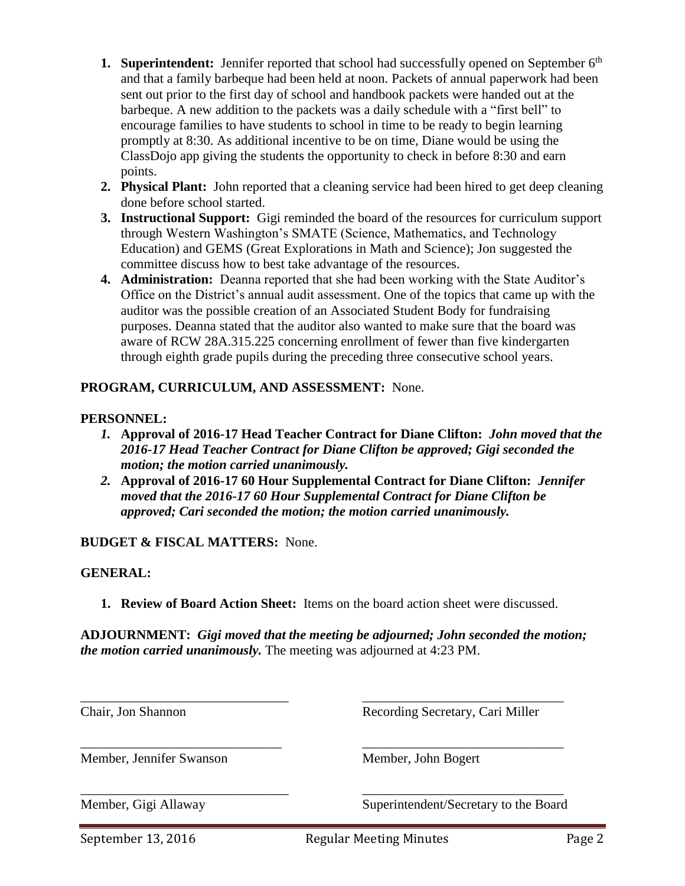- **1. Superintendent:** Jennifer reported that school had successfully opened on September 6<sup>th</sup> and that a family barbeque had been held at noon. Packets of annual paperwork had been sent out prior to the first day of school and handbook packets were handed out at the barbeque. A new addition to the packets was a daily schedule with a "first bell" to encourage families to have students to school in time to be ready to begin learning promptly at 8:30. As additional incentive to be on time, Diane would be using the ClassDojo app giving the students the opportunity to check in before 8:30 and earn points.
- **2. Physical Plant:** John reported that a cleaning service had been hired to get deep cleaning done before school started.
- **3. Instructional Support:** Gigi reminded the board of the resources for curriculum support through Western Washington's SMATE (Science, Mathematics, and Technology Education) and GEMS (Great Explorations in Math and Science); Jon suggested the committee discuss how to best take advantage of the resources.
- **4. Administration:** Deanna reported that she had been working with the State Auditor's Office on the District's annual audit assessment. One of the topics that came up with the auditor was the possible creation of an Associated Student Body for fundraising purposes. Deanna stated that the auditor also wanted to make sure that the board was aware of RCW 28A.315.225 concerning enrollment of fewer than five kindergarten through eighth grade pupils during the preceding three consecutive school years.

# **PROGRAM, CURRICULUM, AND ASSESSMENT:** None.

### **PERSONNEL:**

- *1.* **Approval of 2016-17 Head Teacher Contract for Diane Clifton:** *John moved that the 2016-17 Head Teacher Contract for Diane Clifton be approved; Gigi seconded the motion; the motion carried unanimously.*
- *2.* **Approval of 2016-17 60 Hour Supplemental Contract for Diane Clifton:** *Jennifer moved that the 2016-17 60 Hour Supplemental Contract for Diane Clifton be approved; Cari seconded the motion; the motion carried unanimously.*

**BUDGET & FISCAL MATTERS:** None.

#### **GENERAL:**

**1. Review of Board Action Sheet:** Items on the board action sheet were discussed.

**ADJOURNMENT:** *Gigi moved that the meeting be adjourned; John seconded the motion; the motion carried unanimously.* The meeting was adjourned at 4:23 PM.

\_\_\_\_\_\_\_\_\_\_\_\_\_\_\_\_\_\_\_\_\_\_\_\_\_\_\_\_\_\_\_ \_\_\_\_\_\_\_\_\_\_\_\_\_\_\_\_\_\_\_\_\_\_\_\_\_\_\_\_\_\_ Chair, Jon Shannon Recording Secretary, Cari Miller \_\_\_\_\_\_\_\_\_\_\_\_\_\_\_\_\_\_\_\_\_\_\_\_\_\_\_\_\_\_ \_\_\_\_\_\_\_\_\_\_\_\_\_\_\_\_\_\_\_\_\_\_\_\_\_\_\_\_\_\_ Member, Jennifer Swanson Member, John Bogert \_\_\_\_\_\_\_\_\_\_\_\_\_\_\_\_\_\_\_\_\_\_\_\_\_\_\_\_\_\_\_ \_\_\_\_\_\_\_\_\_\_\_\_\_\_\_\_\_\_\_\_\_\_\_\_\_\_\_\_\_\_ Member, Gigi Allaway Superintendent/Secretary to the Board

September 13, 2016 **Regular Meeting Minutes** Page 2